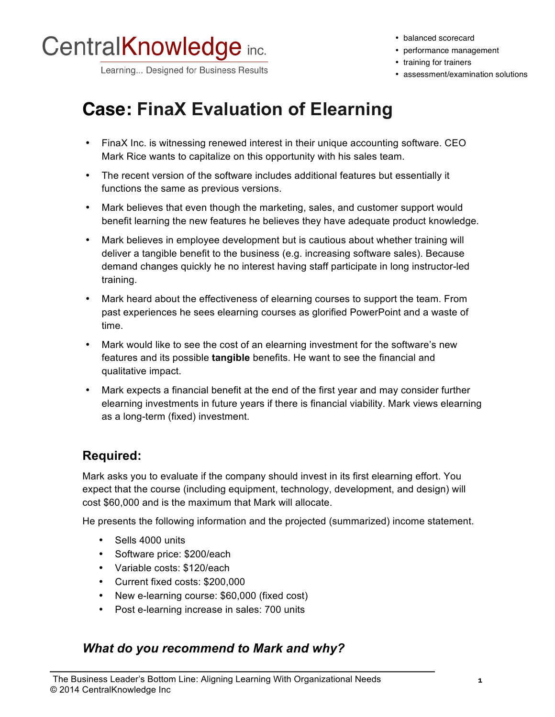

Learning... Designed for Business Results

• balanced scorecard

- performance management
- training for trainers
- assessment/examination solutions

## **Case: FinaX Evaluation of Elearning**

- FinaX Inc. is witnessing renewed interest in their unique accounting software. CEO Mark Rice wants to capitalize on this opportunity with his sales team.
- The recent version of the software includes additional features but essentially it functions the same as previous versions.
- Mark believes that even though the marketing, sales, and customer support would benefit learning the new features he believes they have adequate product knowledge.
- Mark believes in employee development but is cautious about whether training will deliver a tangible benefit to the business (e.g. increasing software sales). Because demand changes quickly he no interest having staff participate in long instructor-led training.
- Mark heard about the effectiveness of elearning courses to support the team. From past experiences he sees elearning courses as glorified PowerPoint and a waste of time.
- Mark would like to see the cost of an elearning investment for the software's new features and its possible **tangible** benefits. He want to see the financial and qualitative impact.
- Mark expects a financial benefit at the end of the first year and may consider further elearning investments in future years if there is financial viability. Mark views elearning as a long-term (fixed) investment.

#### **Required:**

Mark asks you to evaluate if the company should invest in its first elearning effort. You expect that the course (including equipment, technology, development, and design) will cost \$60,000 and is the maximum that Mark will allocate.

He presents the following information and the projected (summarized) income statement.

- Sells 4000 units
- Software price: \$200/each
- Variable costs: \$120/each
- Current fixed costs: \$200,000
- New e-learning course: \$60,000 (fixed cost)
- Post e-learning increase in sales: 700 units

#### *What do you recommend to Mark and why?*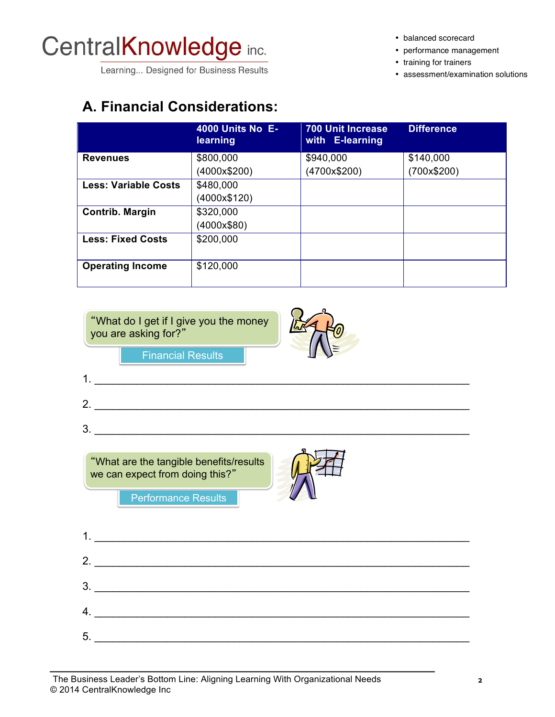# CentralKnowledge inc.

Learning... Designed for Business Results

• balanced scorecard

- performance management
- training for trainers
- assessment/examination solutions

### **A. Financial Considerations:**

|                             | <b>4000 Units No E-</b><br>learning | <b>700 Unit Increase</b><br>with E-learning | <b>Difference</b> |
|-----------------------------|-------------------------------------|---------------------------------------------|-------------------|
| <b>Revenues</b>             | \$800,000                           | \$940,000                                   | \$140,000         |
|                             | (4000x\$200)                        | (4700x\$200)                                | (700x\$200)       |
| <b>Less: Variable Costs</b> | \$480,000                           |                                             |                   |
|                             | (4000x\$120)                        |                                             |                   |
| Contrib. Margin             | \$320,000                           |                                             |                   |
|                             | (4000x\$80)                         |                                             |                   |
| <b>Less: Fixed Costs</b>    | \$200,000                           |                                             |                   |
| <b>Operating Income</b>     | \$120,000                           |                                             |                   |

What do I get if I give you the money you are asking for?"



Financial Results

1.  $\frac{1}{2}$  .  $\frac{1}{2}$  .  $\frac{1}{2}$  ,  $\frac{1}{2}$  ,  $\frac{1}{2}$  ,  $\frac{1}{2}$  ,  $\frac{1}{2}$  ,  $\frac{1}{2}$  ,  $\frac{1}{2}$  ,  $\frac{1}{2}$  ,  $\frac{1}{2}$  ,  $\frac{1}{2}$  ,  $\frac{1}{2}$  ,  $\frac{1}{2}$  ,  $\frac{1}{2}$  ,  $\frac{1}{2}$  ,  $\frac{1}{2}$  ,  $\frac{1}{2}$  ,  $\$ 2. \_\_\_\_\_\_\_\_\_\_\_\_\_\_\_\_\_\_\_\_\_\_\_\_\_\_\_\_\_\_\_\_\_\_\_\_\_\_\_\_\_\_\_\_\_\_\_\_\_\_\_\_\_\_\_\_\_\_\_\_\_\_  $3.$   $\overline{\phantom{a}}$ Performance Results What are the tangible benefits/results we can expect from doing this?"

|    | 2. $\overline{\phantom{a}}$         |
|----|-------------------------------------|
|    | $\begin{array}{c}\n3.\n\end{array}$ |
|    | 4.                                  |
| 5. |                                     |
|    |                                     |